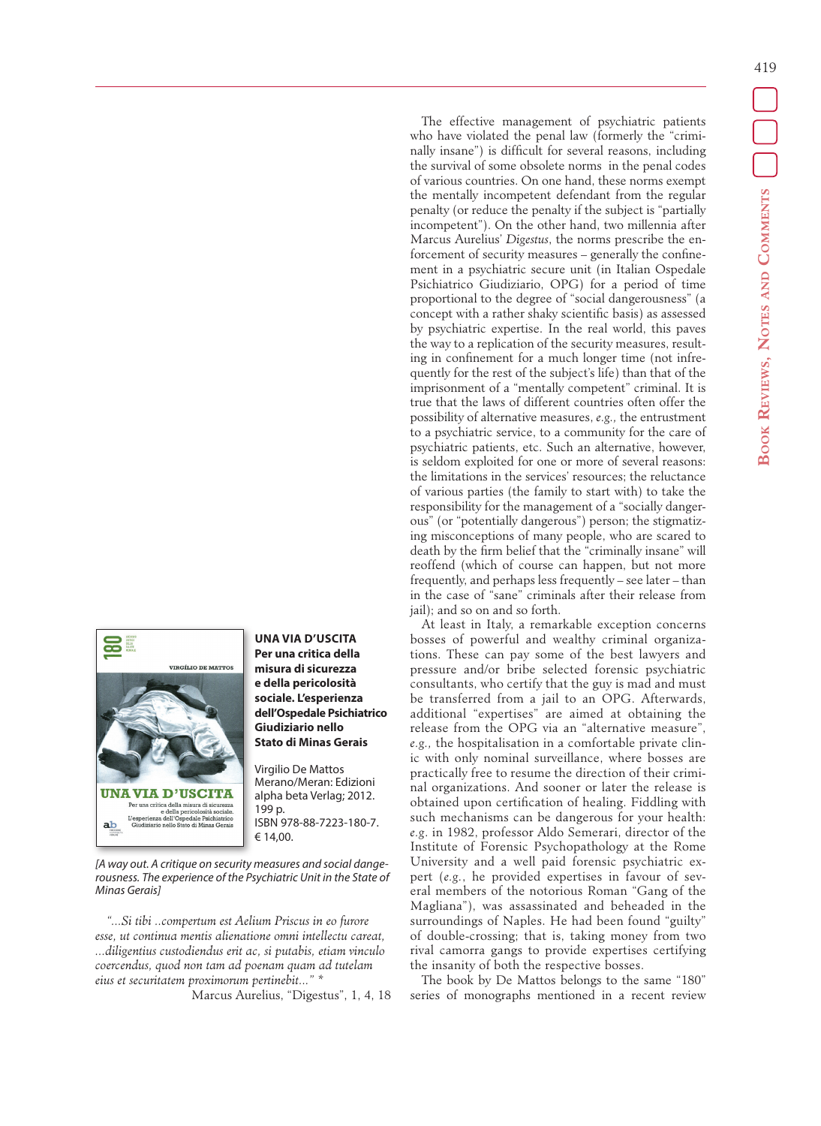

## **UNA VIA D'USCITA Per una critica della misura di sicurezza e della pericolosità sociale. L'esperienza dell'Ospedale Psichiatrico Giudiziario nello Stato di Minas Gerais**

Virgilio De Mattos Merano/Meran: Edizioni alpha beta Verlag; 2012. 199 p. ISBN 978-88-7223-180-7. € 14,00.

*[A way out. A critique on security measures and social dangerousness. The experience of the Psychiatric Unit in the State of Minas Gerais]* 

*"...Si tibi ..compertum est Aelium Priscus in eo furore esse, ut continua mentis alienatione omni intellectu careat, ...diligentius custodiendus erit ac, si putabis, etiam vinculo coercendus, quod non tam ad poenam quam ad tutelam eius et securitatem proximorum pertinebit..." \**

Marcus Aurelius, "Digestus", 1, 4, 18

The effective management of psychiatric patients who have violated the penal law (formerly the "criminally insane") is difficult for several reasons, including the survival of some obsolete norms in the penal codes of various countries. On one hand, these norms exempt the mentally incompetent defendant from the regular penalty (or reduce the penalty if the subject is "partially incompetent"). On the other hand, two millennia after Marcus Aurelius' *Digestus*, the norms prescribe the enforcement of security measures – generally the confinement in a psychiatric secure unit (in Italian Ospedale Psichiatrico Giudiziario, OPG) for a period of time proportional to the degree of "social dangerousness" (a concept with a rather shaky scientific basis) as assessed by psychiatric expertise. In the real world, this paves the way to a replication of the security measures, resulting in confinement for a much longer time (not infrequently for the rest of the subject's life) than that of the imprisonment of a "mentally competent" criminal. It is true that the laws of different countries often offer the possibility of alternative measures, *e.g.,* the entrustment to a psychiatric service, to a community for the care of psychiatric patients, etc. Such an alternative, however, is seldom exploited for one or more of several reasons: the limitations in the services' resources; the reluctance of various parties (the family to start with) to take the responsibility for the management of a "socially dangerous" (or "potentially dangerous") person; the stigmatizing misconceptions of many people, who are scared to death by the firm belief that the "criminally insane" will reoffend (which of course can happen, but not more frequently, and perhaps less frequently – see later – than in the case of "sane" criminals after their release from jail); and so on and so forth.

At least in Italy, a remarkable exception concerns bosses of powerful and wealthy criminal organizations. These can pay some of the best lawyers and pressure and/or bribe selected forensic psychiatric consultants, who certify that the guy is mad and must be transferred from a jail to an OPG. Afterwards, additional "expertises" are aimed at obtaining the release from the OPG via an "alternative measure", *e.g.,* the hospitalisation in a comfortable private clinic with only nominal surveillance, where bosses are practically free to resume the direction of their criminal organizations. And sooner or later the release is obtained upon certification of healing. Fiddling with such mechanisms can be dangerous for your health: *e.g*. in 1982, professor Aldo Semerari, director of the Institute of Forensic Psychopathology at the Rome University and a well paid forensic psychiatric expert (*e.g.*, he provided expertises in favour of several members of the notorious Roman "Gang of the Magliana"), was assassinated and beheaded in the surroundings of Naples. He had been found "guilty" of double-crossing; that is, taking money from two rival camorra gangs to provide expertises certifying the insanity of both the respective bosses.

The book by De Mattos belongs to the same "180" series of monographs mentioned in a recent review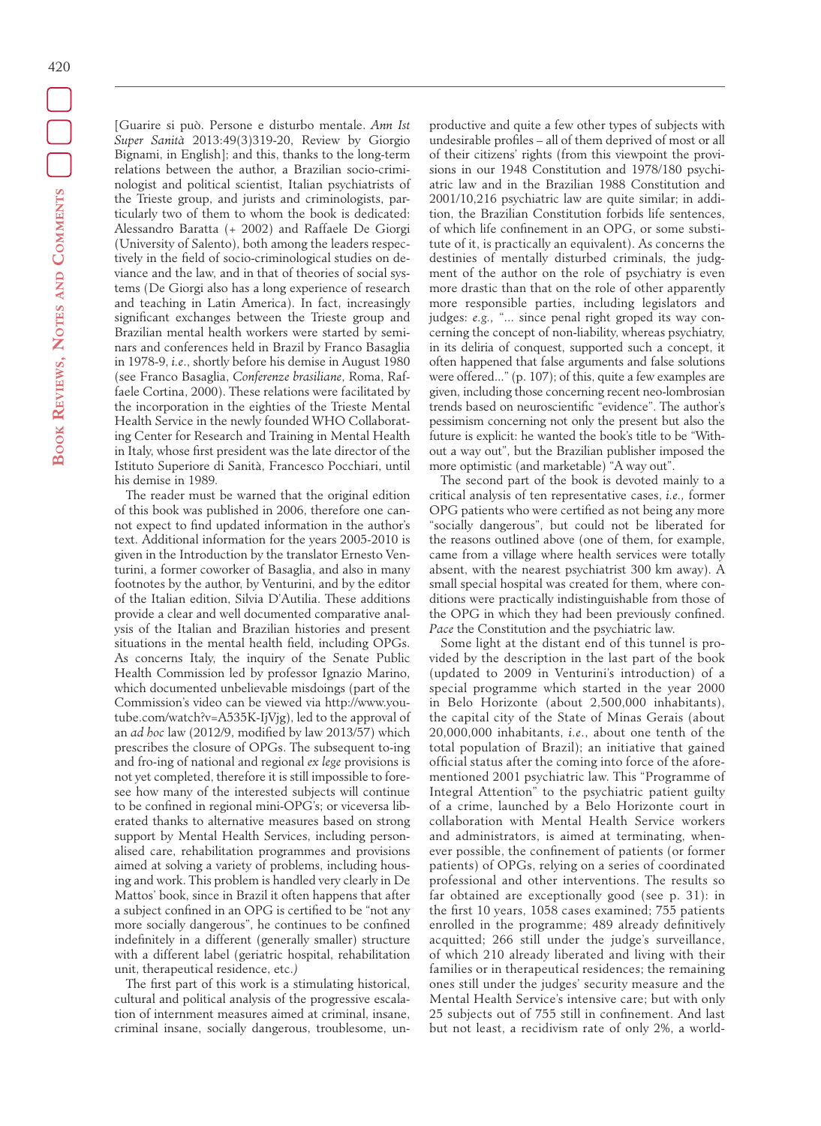[Guarire si può. Persone e disturbo mentale. *Ann Ist Super Sanità* 2013:49(3)319-20, Review by Giorgio Bignami, in English]; and this, thanks to the long-term relations between the author, a Brazilian socio-criminologist and political scientist, Italian psychiatrists of the Trieste group, and jurists and criminologists, particularly two of them to whom the book is dedicated: Alessandro Baratta (+ 2002) and Raffaele De Giorgi (University of Salento), both among the leaders respectively in the field of socio-criminological studies on deviance and the law, and in that of theories of social systems (De Giorgi also has a long experience of research and teaching in Latin America). In fact, increasingly significant exchanges between the Trieste group and Brazilian mental health workers were started by seminars and conferences held in Brazil by Franco Basaglia in 1978-9, *i.e*., shortly before his demise in August 1980 (see Franco Basaglia, *Conferenze brasiliane*, Roma, Raffaele Cortina, 2000). These relations were facilitated by the incorporation in the eighties of the Trieste Mental Health Service in the newly founded WHO Collaborating Center for Research and Training in Mental Health in Italy, whose first president was the late director of the Istituto Superiore di Sanità, Francesco Pocchiari, until his demise in 1989*.*

The reader must be warned that the original edition of this book was published in 2006, therefore one cannot expect to find updated information in the author's text. Additional information for the years 2005-2010 is given in the Introduction by the translator Ernesto Venturini, a former coworker of Basaglia, and also in many footnotes by the author, by Venturini, and by the editor of the Italian edition, Silvia D'Autilia. These additions provide a clear and well documented comparative analysis of the Italian and Brazilian histories and present situations in the mental health field, including OPGs. As concerns Italy, the inquiry of the Senate Public Health Commission led by professor Ignazio Marino, which documented unbelievable misdoings (part of the Commission's video can be viewed via http://www.youtube.com/watch?v=A535K-IjVjg), led to the approval of an *ad hoc* law (2012/9, modified by law 2013/57) which prescribes the closure of OPGs. The subsequent to-ing and fro-ing of national and regional *ex lege* provisions is not yet completed, therefore it is still impossible to foresee how many of the interested subjects will continue to be confined in regional mini-OPG's; or viceversa liberated thanks to alternative measures based on strong support by Mental Health Services, including personalised care, rehabilitation programmes and provisions aimed at solving a variety of problems, including housing and work. This problem is handled very clearly in De Mattos' book, since in Brazil it often happens that after a subject confined in an OPG is certified to be "not any more socially dangerous", he continues to be confined indefinitely in a different (generally smaller) structure with a different label (geriatric hospital, rehabilitation unit, therapeutical residence, etc.*)* 

The first part of this work is a stimulating historical, cultural and political analysis of the progressive escalation of internment measures aimed at criminal, insane, criminal insane, socially dangerous, troublesome, unproductive and quite a few other types of subjects with undesirable profiles – all of them deprived of most or all of their citizens' rights (from this viewpoint the provisions in our 1948 Constitution and 1978/180 psychiatric law and in the Brazilian 1988 Constitution and 2001/10,216 psychiatric law are quite similar; in addition, the Brazilian Constitution forbids life sentences, of which life confinement in an OPG, or some substitute of it, is practically an equivalent). As concerns the destinies of mentally disturbed criminals, the judgment of the author on the role of psychiatry is even more drastic than that on the role of other apparently more responsible parties, including legislators and judges: *e.g.,* "... since penal right groped its way concerning the concept of non-liability, whereas psychiatry, in its deliria of conquest, supported such a concept, it often happened that false arguments and false solutions were offered..." (p. 107); of this, quite a few examples are given, including those concerning recent neo-lombrosian trends based on neuroscientific "evidence". The author's pessimism concerning not only the present but also the future is explicit: he wanted the book's title to be "Without a way out", but the Brazilian publisher imposed the more optimistic (and marketable) "A way out".

The second part of the book is devoted mainly to a critical analysis of ten representative cases, *i.e.,* former OPG patients who were certified as not being any more "socially dangerous", but could not be liberated for the reasons outlined above (one of them, for example, came from a village where health services were totally absent, with the nearest psychiatrist 300 km away). A small special hospital was created for them, where conditions were practically indistinguishable from those of the OPG in which they had been previously confined. *Pace* the Constitution and the psychiatric law.

Some light at the distant end of this tunnel is provided by the description in the last part of the book (updated to 2009 in Venturini's introduction) of a special programme which started in the year 2000 in Belo Horizonte (about 2,500,000 inhabitants), the capital city of the State of Minas Gerais (about 20,000,000 inhabitants, *i.e*., about one tenth of the total population of Brazil); an initiative that gained official status after the coming into force of the aforementioned 2001 psychiatric law. This "Programme of Integral Attention" to the psychiatric patient guilty of a crime, launched by a Belo Horizonte court in collaboration with Mental Health Service workers and administrators, is aimed at terminating, whenever possible, the confinement of patients (or former patients) of OPGs, relying on a series of coordinated professional and other interventions. The results so far obtained are exceptionally good (see p. 31): in the first 10 years, 1058 cases examined; 755 patients enrolled in the programme; 489 already definitively acquitted; 266 still under the judge's surveillance, of which 210 already liberated and living with their families or in therapeutical residences; the remaining ones still under the judges' security measure and the Mental Health Service's intensive care; but with only 25 subjects out of 755 still in confinement. And last but not least, a recidivism rate of only 2%, a world